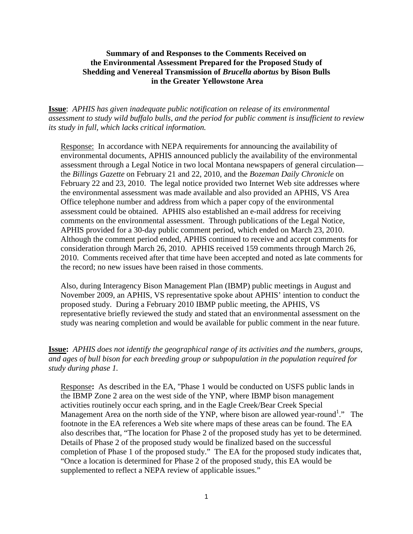### **Summary of and Responses to the Comments Received on the Environmental Assessment Prepared for the Proposed Study of Shedding and Venereal Transmission of** *Brucella abortus* **by Bison Bulls in the Greater Yellowstone Area**

**Issue**: *APHIS has given inadequate public notification on release of its environmental assessment to study wild buffalo bulls, and the period for public comment is insufficient to review its study in full, which lacks critical information.*

Response: In accordance with NEPA requirements for announcing the availability of environmental documents, APHIS announced publicly the availability of the environmental assessment through a Legal Notice in two local Montana newspapers of general circulation the *Billings Gazette* on February 21 and 22, 2010, and the *Bozeman Daily Chronicle* on February 22 and 23, 2010. The legal notice provided two Internet Web site addresses where the environmental assessment was made available and also provided an APHIS, VS Area Office telephone number and address from which a paper copy of the environmental assessment could be obtained. APHIS also established an e-mail address for receiving comments on the environmental assessment. Through publications of the Legal Notice, APHIS provided for a 30-day public comment period, which ended on March 23, 2010. Although the comment period ended, APHIS continued to receive and accept comments for consideration through March 26, 2010. APHIS received 159 comments through March 26, 2010. Comments received after that time have been accepted and noted as late comments for the record; no new issues have been raised in those comments.

Also, during Interagency Bison Management Plan (IBMP) public meetings in August and November 2009, an APHIS, VS representative spoke about APHIS' intention to conduct the proposed study. During a February 2010 IBMP public meeting, the APHIS, VS representative briefly reviewed the study and stated that an environmental assessment on the study was nearing completion and would be available for public comment in the near future.

**Issue:** *APHIS does not identify the geographical range of its activities and the numbers, groups, and ages of bull bison for each breeding group or subpopulation in the population required for study during phase 1.* 

Response**:** As described in the EA, "Phase 1 would be conducted on USFS public lands in the IBMP Zone 2 area on the west side of the YNP, where IBMP bison management activities routinely occur each spring, and in the Eagle Creek/Bear Creek Special Management Area on the north side of the YNP, where bison are allowed year-round<sup>1</sup>." The footnote in the EA references a Web site where maps of these areas can be found. The EA also describes that, "The location for Phase 2 of the proposed study has yet to be determined. Details of Phase 2 of the proposed study would be finalized based on the successful completion of Phase 1 of the proposed study." The EA for the proposed study indicates that, "Once a location is determined for Phase 2 of the proposed study, this EA would be supplemented to reflect a NEPA review of applicable issues."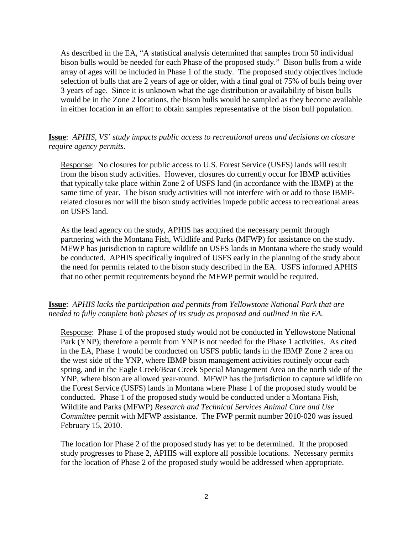As described in the EA, "A statistical analysis determined that samples from 50 individual bison bulls would be needed for each Phase of the proposed study." Bison bulls from a wide array of ages will be included in Phase 1 of the study. The proposed study objectives include selection of bulls that are 2 years of age or older, with a final goal of 75% of bulls being over 3 years of age. Since it is unknown what the age distribution or availability of bison bulls would be in the Zone 2 locations, the bison bulls would be sampled as they become available in either location in an effort to obtain samples representative of the bison bull population.

### **Issue**: *APHIS, VS' study impacts public access to recreational areas and decisions on closure require agency permits.*

Response: No closures for public access to U.S. Forest Service (USFS) lands will result from the bison study activities. However, closures do currently occur for IBMP activities that typically take place within Zone 2 of USFS land (in accordance with the IBMP) at the same time of year. The bison study activities will not interfere with or add to those IBMPrelated closures nor will the bison study activities impede public access to recreational areas on USFS land.

As the lead agency on the study, APHIS has acquired the necessary permit through partnering with the Montana Fish, Wildlife and Parks (MFWP) for assistance on the study. MFWP has jurisdiction to capture wildlife on USFS lands in Montana where the study would be conducted. APHIS specifically inquired of USFS early in the planning of the study about the need for permits related to the bison study described in the EA. USFS informed APHIS that no other permit requirements beyond the MFWP permit would be required.

# **Issue**: *APHIS lacks the participation and permits from Yellowstone National Park that are needed to fully complete both phases of its study as proposed and outlined in the EA.*

Response: Phase 1 of the proposed study would not be conducted in Yellowstone National Park (YNP); therefore a permit from YNP is not needed for the Phase 1 activities. As cited in the EA, Phase 1 would be conducted on USFS public lands in the IBMP Zone 2 area on the west side of the YNP, where IBMP bison management activities routinely occur each spring, and in the Eagle Creek/Bear Creek Special Management Area on the north side of the YNP, where bison are allowed year-round. MFWP has the jurisdiction to capture wildlife on the Forest Service (USFS) lands in Montana where Phase 1 of the proposed study would be conducted. Phase 1 of the proposed study would be conducted under a Montana Fish, Wildlife and Parks (MFWP) *Research and Technical Services Animal Care and Use Committee* permit with MFWP assistance. The FWP permit number 2010-020 was issued February 15, 2010.

The location for Phase 2 of the proposed study has yet to be determined. If the proposed study progresses to Phase 2, APHIS will explore all possible locations. Necessary permits for the location of Phase 2 of the proposed study would be addressed when appropriate.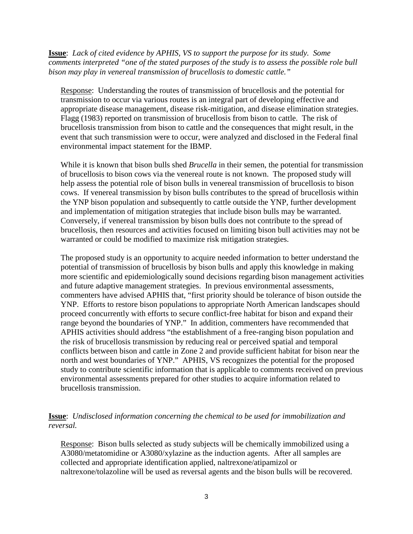**Issue**: *Lack of cited evidence by APHIS, VS to support the purpose for its study. Some comments interpreted "one of the stated purposes of the study is to assess the possible role bull bison may play in venereal transmission of brucellosis to domestic cattle."*

Response: Understanding the routes of transmission of brucellosis and the potential for transmission to occur via various routes is an integral part of developing effective and appropriate disease management, disease risk-mitigation, and disease elimination strategies. Flagg (1983) reported on transmission of brucellosis from bison to cattle. The risk of brucellosis transmission from bison to cattle and the consequences that might result, in the event that such transmission were to occur, were analyzed and disclosed in the Federal final environmental impact statement for the IBMP.

While it is known that bison bulls shed *Brucella* in their semen, the potential for transmission of brucellosis to bison cows via the venereal route is not known. The proposed study will help assess the potential role of bison bulls in venereal transmission of brucellosis to bison cows. If venereal transmission by bison bulls contributes to the spread of brucellosis within the YNP bison population and subsequently to cattle outside the YNP, further development and implementation of mitigation strategies that include bison bulls may be warranted. Conversely, if venereal transmission by bison bulls does not contribute to the spread of brucellosis, then resources and activities focused on limiting bison bull activities may not be warranted or could be modified to maximize risk mitigation strategies.

The proposed study is an opportunity to acquire needed information to better understand the potential of transmission of brucellosis by bison bulls and apply this knowledge in making more scientific and epidemiologically sound decisions regarding bison management activities and future adaptive management strategies. In previous environmental assessments, commenters have advised APHIS that, "first priority should be tolerance of bison outside the YNP. Efforts to restore bison populations to appropriate North American landscapes should proceed concurrently with efforts to secure conflict-free habitat for bison and expand their range beyond the boundaries of YNP." In addition, commenters have recommended that APHIS activities should address "the establishment of a free-ranging bison population and the risk of brucellosis transmission by reducing real or perceived spatial and temporal conflicts between bison and cattle in Zone 2 and provide sufficient habitat for bison near the north and west boundaries of YNP." APHIS, VS recognizes the potential for the proposed study to contribute scientific information that is applicable to comments received on previous environmental assessments prepared for other studies to acquire information related to brucellosis transmission.

# **Issue**: *Undisclosed information concerning the chemical to be used for immobilization and reversal.*

Response: Bison bulls selected as study subjects will be chemically immobilized using a A3080/metatomidine or A3080/xylazine as the induction agents. After all samples are collected and appropriate identification applied, naltrexone/atipamizol or naltrexone/tolazoline will be used as reversal agents and the bison bulls will be recovered.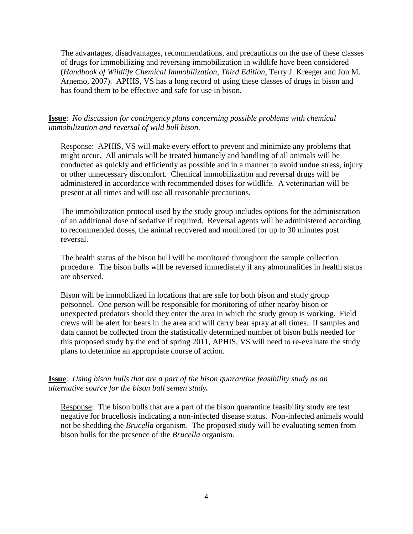The advantages, disadvantages, recommendations, and precautions on the use of these classes of drugs for immobilizing and reversing immobilization in wildlife have been considered (*Handbook of Wildlife Chemical Immobilization, Third Edition*, Terry J. Kreeger and Jon M. Arnemo, 2007). APHIS, VS has a long record of using these classes of drugs in bison and has found them to be effective and safe for use in bison.

**Issue**: *No discussion for contingency plans concerning possible problems with chemical immobilization and reversal of wild bull bison.*

Response:APHIS, VS will make every effort to prevent and minimize any problems that might occur. All animals will be treated humanely and handling of all animals will be conducted as quickly and efficiently as possible and in a manner to avoid undue stress, injury or other unnecessary discomfort. Chemical immobilization and reversal drugs will be administered in accordance with recommended doses for wildlife. A veterinarian will be present at all times and will use all reasonable precautions.

The immobilization protocol used by the study group includes options for the administration of an additional dose of sedative if required. Reversal agents will be administered according to recommended doses, the animal recovered and monitored for up to 30 minutes post reversal.

The health status of the bison bull will be monitored throughout the sample collection procedure. The bison bulls will be reversed immediately if any abnormalities in health status are observed.

Bison will be immobilized in locations that are safe for both bison and study group personnel. One person will be responsible for monitoring of other nearby bison or unexpected predators should they enter the area in which the study group is working. Field crews will be alert for bears in the area and will carry bear spray at all times. If samples and data cannot be collected from the statistically determined number of bison bulls needed for this proposed study by the end of spring 2011, APHIS, VS will need to re-evaluate the study plans to determine an appropriate course of action.

**Issue**: *Using bison bulls that are a part of the bison quarantine feasibility study as an alternative source for the bison bull semen study.*

Response:The bison bulls that are a part of the bison quarantine feasibility study are test negative for brucellosis indicating a non-infected disease status. Non-infected animals would not be shedding the *Brucella* organism. The proposed study will be evaluating semen from bison bulls for the presence of the *Brucella* organism.